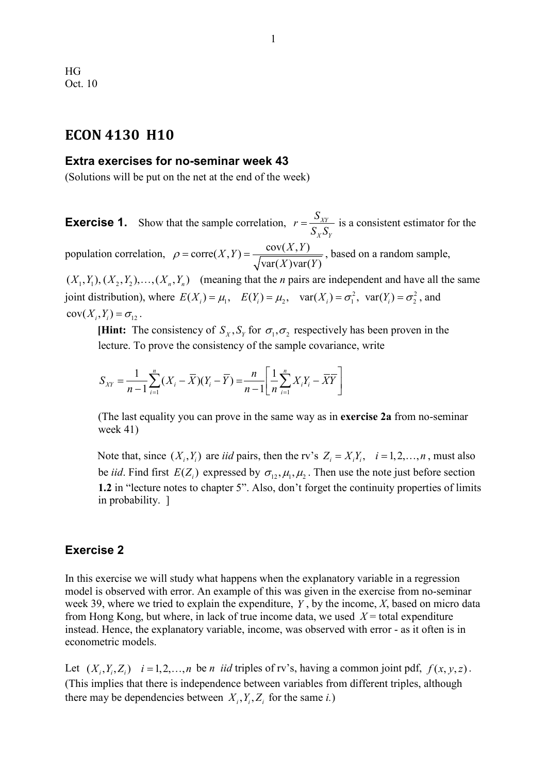## **ECON 4130 H10**

## **Extra exercises for no-seminar week 43**

(Solutions will be put on the net at the end of the week)

**Exercise 1.** Show that the sample correlation,  $r = \frac{S_{XY}}{S_{X}S_{Y}}$  $_X \rightarrow Y$  $r = \frac{S_{XY}}{S_X S_Y}$  is a consistent estimator for the population correlation,  $\rho = \text{corr}(X, Y) = \frac{\text{cov}(X, Y)}{\sqrt{\text{var}(X)\text{var}(Y)}}$ , based on a random sample,

 $(X_1, Y_1), (X_2, Y_2), \ldots, (X_n, Y_n)$  (meaning that the *n* pairs are independent and have all the same joint distribution), where  $E(X_i) = \mu_1$ ,  $E(Y_i) = \mu_2$ ,  $var(X_i) = \sigma_1^2$ ,  $var(Y_i) = \sigma_2^2$ , and  $cov(X_i, Y_i) = \sigma_{12}$ .

**[Hint:** The consistency of  $S_x$ ,  $S_y$  for  $\sigma_1$ ,  $\sigma_2$  respectively has been proven in the lecture. To prove the consistency of the sample covariance, write

$$
S_{XY} = \frac{1}{n-1} \sum_{i=1}^{n} (X_i - \overline{X})(Y_i - \overline{Y}) = \frac{n}{n-1} \left[ \frac{1}{n} \sum_{i=1}^{n} X_i Y_i - \overline{X} \overline{Y} \right]
$$

(The last equality you can prove in the same way as in **exercise 2a** from no-seminar week 41)

Note that, since  $(X_i, Y_i)$  are *iid* pairs, then the rv's  $Z_i = X_i Y_i$ ,  $i = 1, 2, ..., n$ , must also be *iid*. Find first  $E(Z_i)$  expressed by  $\sigma_1$ ,  $\mu_1$ ,  $\mu_2$ . Then use the note just before section **1.2** in "lecture notes to chapter 5". Also, don't forget the continuity properties of limits in probability. ]

## **Exercise 2**

In this exercise we will study what happens when the explanatory variable in a regression model is observed with error. An example of this was given in the exercise from no-seminar week 39, where we tried to explain the expenditure, *Y* , by the income, *X*, based on micro data from Hong Kong, but where, in lack of true income data, we used  $X =$  total expenditure instead. Hence, the explanatory variable, income, was observed with error - as it often is in econometric models.

Let  $(X_i, Y_i, Z_i)$   $i = 1,2,...,n$  be *n iid* triples of rv's, having a common joint pdf,  $f(x, y, z)$ . (This implies that there is independence between variables from different triples, although there may be dependencies between  $X_i, Y_i, Z_i$  for the same *i*.)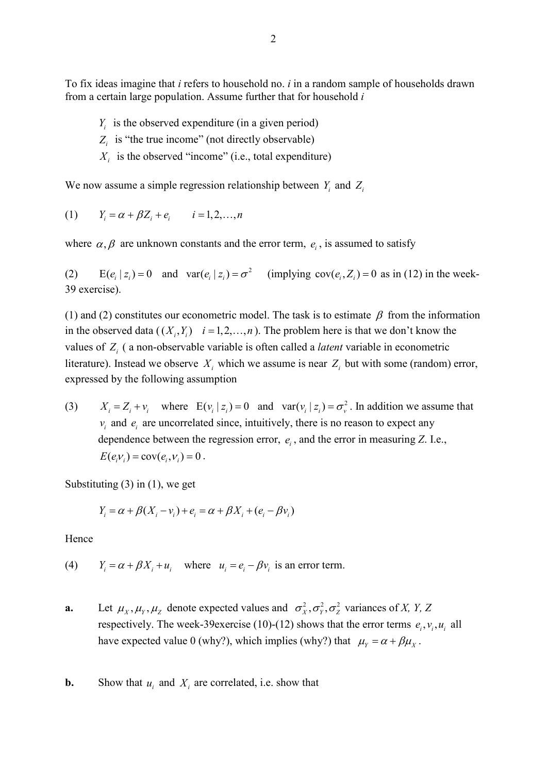To fix ideas imagine that *i* refers to household no. *i* in a random sample of households drawn from a certain large population. Assume further that for household *i*

- $Y_i$  is the observed expenditure (in a given period)
- *Z<sub>i</sub>* is "the true income" (not directly observable)
- $X_i$  is the observed "income" (i.e., total expenditure)

We now assume a simple regression relationship between  $Y_i$  and  $Z_i$ 

(1) 
$$
Y_i = \alpha + \beta Z_i + e_i
$$
  $i = 1, 2, ..., n$ 

where  $\alpha, \beta$  are unknown constants and the error term,  $e_i$ , is assumed to satisfy

(2)  $E(e_i | z_i) = 0$  and  $var(e_i | z_i) = \sigma^2$  (implying  $cov(e_i, Z_i) = 0$  as in (12) in the week-39 exercise).

(1) and (2) constitutes our econometric model. The task is to estimate  $\beta$  from the information in the observed data  $((X_i, Y_i)$  *i* = 1,2, ..., *n*). The problem here is that we don't know the values of *Zi* ( a non-observable variable is often called a *latent* variable in econometric literature). Instead we observe  $X_i$  which we assume is near  $Z_i$  but with some (random) error, expressed by the following assumption

(3)  $X_i = Z_i + v_i$  where  $E(v_i | z_i) = 0$  and  $var(v_i | z_i) = \sigma_v^2$ . In addition we assume that  $v_i$  and  $e_i$  are uncorrelated since, intuitively, there is no reason to expect any dependence between the regression error,  $e_i$ , and the error in measuring *Z*. I.e.,  $E(e_i v_i) = cov(e_i, v_i) = 0$ .

Substituting (3) in (1), we get

$$
Y_i = \alpha + \beta (X_i - v_i) + e_i = \alpha + \beta X_i + (e_i - \beta v_i)
$$

Hence

(4)  $Y_i = \alpha + \beta X_i + u_i$ , where  $u_i = e_i - \beta v_i$  is an error term.

- **a.** Let  $\mu_X$ ,  $\mu_Y$ ,  $\mu_Z$  denote expected values and  $\sigma_X^2$ ,  $\sigma_Y^2$ ,  $\sigma_Z^2$  variances of *X, Y, Z* respectively. The week-39exercise (10)-(12) shows that the error terms  $e_i$ ,  $v_i$ ,  $u_i$  all have expected value 0 (why?), which implies (why?) that  $\mu_{\rm y} = \alpha + \beta \mu_{\rm x}$ .
- **b.** Show that  $u_i$  and  $X_i$  are correlated, i.e. show that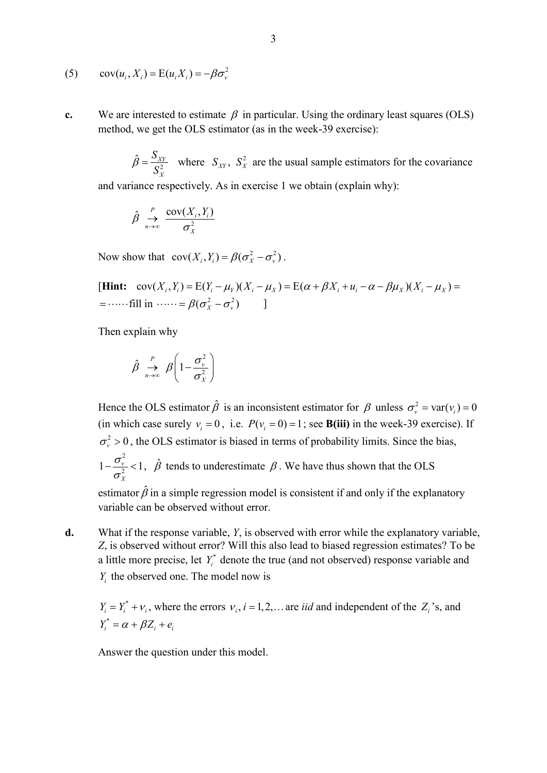$$
(5) \qquad \text{cov}(u_i, X_i) = \text{E}(u_i X_i) = -\beta \sigma_v^2
$$

**c.** We are interested to estimate  $\beta$  in particular. Using the ordinary least squares (OLS) method, we get the OLS estimator (as in the week-39 exercise):

 $\hat{\beta} = \frac{S_{XY}}{S_X^2}$  where  $S_{XY}$ ,  $S_X^2$  are the usual sample estimators for the covariance *X* and variance respectively. As in exercise 1 we obtain (explain why):

$$
\hat{\beta} \underset{n \to \infty}{\to} \frac{\text{cov}(X_i, Y_i)}{\sigma_X^2}
$$

Now show that  $\text{cov}(X_i, Y_i) = \beta(\sigma_v^2 - \sigma_v^2)$ .

 $[\textbf{Hint: } \text{cov}(X_i, Y_i) = E(Y_i - \mu_Y)(X_i - \mu_X) = E(\alpha + \beta X_i + u_i - \alpha - \beta \mu_X)(X_i - \mu_X) =$  $=$   $\cdots$  fill in  $\cdots = \beta(\sigma_x^2 - \sigma_y^2)$  ]

Then explain why

$$
\hat{\beta} \underset{n \to \infty}{\to} \beta \left( 1 - \frac{\sigma_v^2}{\sigma_X^2} \right)
$$

Hence the OLS estimator  $\hat{\beta}$  is an inconsistent estimator for  $\beta$  unless  $\sigma_v^2 = \text{var}(v_i) = 0$ (in which case surely  $v_i = 0$ , i.e.  $P(v_i = 0) = 1$ ; see **B(iii)** in the week-39 exercise). If  $\sigma_v^2 > 0$ , the OLS estimator is biased in terms of probability limits. Since the bias, 2  $1 - \frac{\sigma_v}{\sigma^2} < 1$ *X*  $-\frac{\sigma_v}{\sigma_v^2}$  < 1,  $\hat{\beta}$  tends to underestimate  $\beta$ . We have thus shown that the OLS estimator  $\hat{\beta}$  in a simple regression model is consistent if and only if the explanatory variable can be observed without error.

**d.** What if the response variable, *Y*, is observed with error while the explanatory variable, *Z*, is observed without error? Will this also lead to biased regression estimates? To be a little more precise, let  $Y_i^*$  denote the true (and not observed) response variable and *Y<sub>i</sub>* the observed one. The model now is

 $Y_i = Y_i^* + V_i$ , where the errors  $V_i$ ,  $i = 1, 2, \dots$  are *iid* and independent of the  $Z_i$ 's, and  $Y_i^* = \alpha + \beta Z_i + e_i$ 

Answer the question under this model.